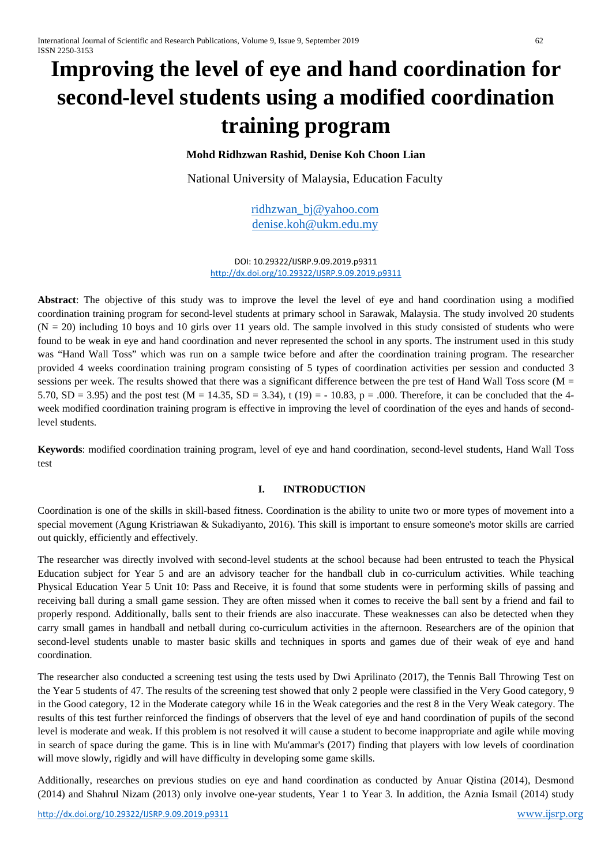# **Improving the level of eye and hand coordination for second-level students using a modified coordination training program**

# **Mohd Ridhzwan Rashid, Denise Koh Choon Lian**

National University of Malaysia, Education Faculty

[ridhzwan\\_bj@yahoo.com](mailto:ridhzwan_bj@yahoo.com) [denise.koh@ukm.edu.my](mailto:denise.koh@ukm.edu.my)

DOI: 10.29322/IJSRP.9.09.2019.p9311 <http://dx.doi.org/10.29322/IJSRP.9.09.2019.p9311>

**Abstract**: The objective of this study was to improve the level the level of eye and hand coordination using a modified coordination training program for second-level students at primary school in Sarawak, Malaysia. The study involved 20 students  $(N = 20)$  including 10 boys and 10 girls over 11 years old. The sample involved in this study consisted of students who were found to be weak in eye and hand coordination and never represented the school in any sports. The instrument used in this study was "Hand Wall Toss" which was run on a sample twice before and after the coordination training program. The researcher provided 4 weeks coordination training program consisting of 5 types of coordination activities per session and conducted 3 sessions per week. The results showed that there was a significant difference between the pre test of Hand Wall Toss score (M = 5.70, SD = 3.95) and the post test (M = 14.35, SD = 3.34), t (19) = - 10.83, p = .000. Therefore, it can be concluded that the 4week modified coordination training program is effective in improving the level of coordination of the eyes and hands of secondlevel students.

**Keywords**: modified coordination training program, level of eye and hand coordination, second-level students, Hand Wall Toss test

# **I. INTRODUCTION**

Coordination is one of the skills in skill-based fitness. Coordination is the ability to unite two or more types of movement into a special movement (Agung Kristriawan & Sukadiyanto, 2016). This skill is important to ensure someone's motor skills are carried out quickly, efficiently and effectively.

The researcher was directly involved with second-level students at the school because had been entrusted to teach the Physical Education subject for Year 5 and are an advisory teacher for the handball club in co-curriculum activities. While teaching Physical Education Year 5 Unit 10: Pass and Receive, it is found that some students were in performing skills of passing and receiving ball during a small game session. They are often missed when it comes to receive the ball sent by a friend and fail to properly respond. Additionally, balls sent to their friends are also inaccurate. These weaknesses can also be detected when they carry small games in handball and netball during co-curriculum activities in the afternoon. Researchers are of the opinion that second-level students unable to master basic skills and techniques in sports and games due of their weak of eye and hand coordination.

The researcher also conducted a screening test using the tests used by Dwi Aprilinato (2017), the Tennis Ball Throwing Test on the Year 5 students of 47. The results of the screening test showed that only 2 people were classified in the Very Good category, 9 in the Good category, 12 in the Moderate category while 16 in the Weak categories and the rest 8 in the Very Weak category. The results of this test further reinforced the findings of observers that the level of eye and hand coordination of pupils of the second level is moderate and weak. If this problem is not resolved it will cause a student to become inappropriate and agile while moving in search of space during the game. This is in line with Mu'ammar's (2017) finding that players with low levels of coordination will move slowly, rigidly and will have difficulty in developing some game skills.

Additionally, researches on previous studies on eye and hand coordination as conducted by Anuar Qistina (2014), Desmond (2014) and Shahrul Nizam (2013) only involve one-year students, Year 1 to Year 3. In addition, the Aznia Ismail (2014) study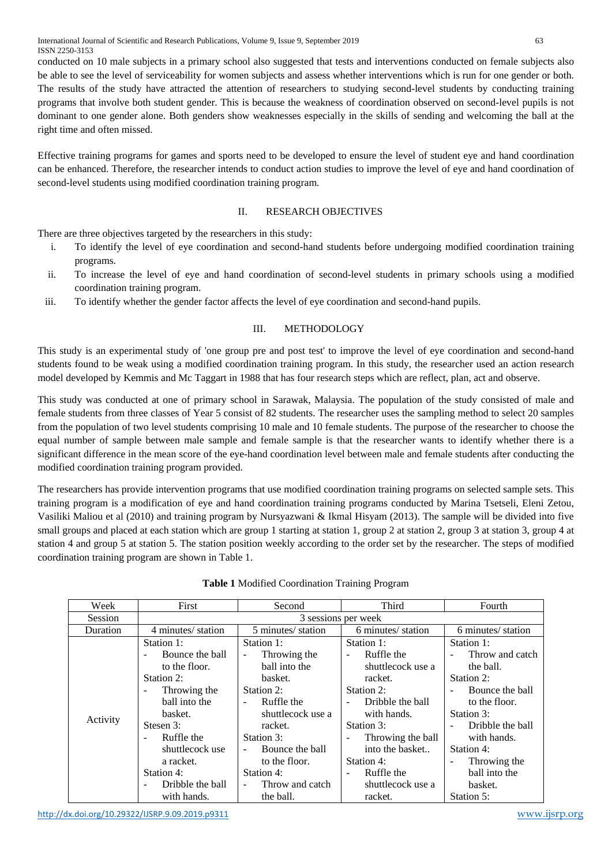conducted on 10 male subjects in a primary school also suggested that tests and interventions conducted on female subjects also be able to see the level of serviceability for women subjects and assess whether interventions which is run for one gender or both. The results of the study have attracted the attention of researchers to studying second-level students by conducting training programs that involve both student gender. This is because the weakness of coordination observed on second-level pupils is not dominant to one gender alone. Both genders show weaknesses especially in the skills of sending and welcoming the ball at the right time and often missed.

Effective training programs for games and sports need to be developed to ensure the level of student eye and hand coordination can be enhanced. Therefore, the researcher intends to conduct action studies to improve the level of eye and hand coordination of second-level students using modified coordination training program.

#### II. RESEARCH OBJECTIVES

There are three objectives targeted by the researchers in this study:

- i. To identify the level of eye coordination and second-hand students before undergoing modified coordination training programs.
- ii. To increase the level of eye and hand coordination of second-level students in primary schools using a modified coordination training program.
- iii. To identify whether the gender factor affects the level of eye coordination and second-hand pupils.

# III. METHODOLOGY

This study is an experimental study of 'one group pre and post test' to improve the level of eye coordination and second-hand students found to be weak using a modified coordination training program. In this study, the researcher used an action research model developed by Kemmis and Mc Taggart in 1988 that has four research steps which are reflect, plan, act and observe.

This study was conducted at one of primary school in Sarawak, Malaysia. The population of the study consisted of male and female students from three classes of Year 5 consist of 82 students. The researcher uses the sampling method to select 20 samples from the population of two level students comprising 10 male and 10 female students. The purpose of the researcher to choose the equal number of sample between male sample and female sample is that the researcher wants to identify whether there is a significant difference in the mean score of the eye-hand coordination level between male and female students after conducting the modified coordination training program provided.

The researchers has provide intervention programs that use modified coordination training programs on selected sample sets. This training program is a modification of eye and hand coordination training programs conducted by Marina Tsetseli, Eleni Zetou, Vasiliki Maliou et al (2010) and training program by Nursyazwani & Ikmal Hisyam (2013). The sample will be divided into five small groups and placed at each station which are group 1 starting at station 1, group 2 at station 2, group 3 at station 3, group 4 at station 4 and group 5 at station 5. The station position weekly according to the order set by the researcher. The steps of modified coordination training program are shown in Table 1.

| Week     | First              | Second                                      | Third               | Fourth             |  |
|----------|--------------------|---------------------------------------------|---------------------|--------------------|--|
| Session  |                    |                                             | 3 sessions per week |                    |  |
| Duration | 4 minutes/ station | 5 minutes/ station                          | 6 minutes/ station  | 6 minutes/ station |  |
|          | Station 1:         | Station 1:                                  | Station 1:          | Station 1:         |  |
|          | Bounce the ball    | Throwing the<br>$\overline{\phantom{m}}$    | Ruffle the          | Throw and catch    |  |
|          | to the floor.      | ball into the                               | shuttlecock use a   | the ball.          |  |
|          | Station 2:         | basket.                                     | racket.             | Station 2:         |  |
|          | Throwing the       | Station 2:                                  | Station 2:          | Bounce the ball    |  |
|          | ball into the      | Ruffle the                                  | Dribble the ball    | to the floor.      |  |
| Activity | basket.            | shuttlecock use a                           | with hands.         | Station 3:         |  |
|          | Stesen 3:          | racket.                                     | Station 3:          | Dribble the ball   |  |
|          | Ruffle the         | Station 3:                                  | Throwing the ball   | with hands.        |  |
|          | shuttlecock use    | Bounce the ball                             | into the basket     | Station 4:         |  |
|          | a racket.          | to the floor.                               | Station 4:          | Throwing the       |  |
|          | Station 4:         | Station 4:                                  | Ruffle the          | ball into the      |  |
|          | Dribble the ball   | Throw and catch<br>$\overline{\phantom{a}}$ | shuttlecock use a   | basket.            |  |
|          | with hands.        | the ball.                                   | racket.             | Station 5:         |  |

#### **Table 1** Modified Coordination Training Program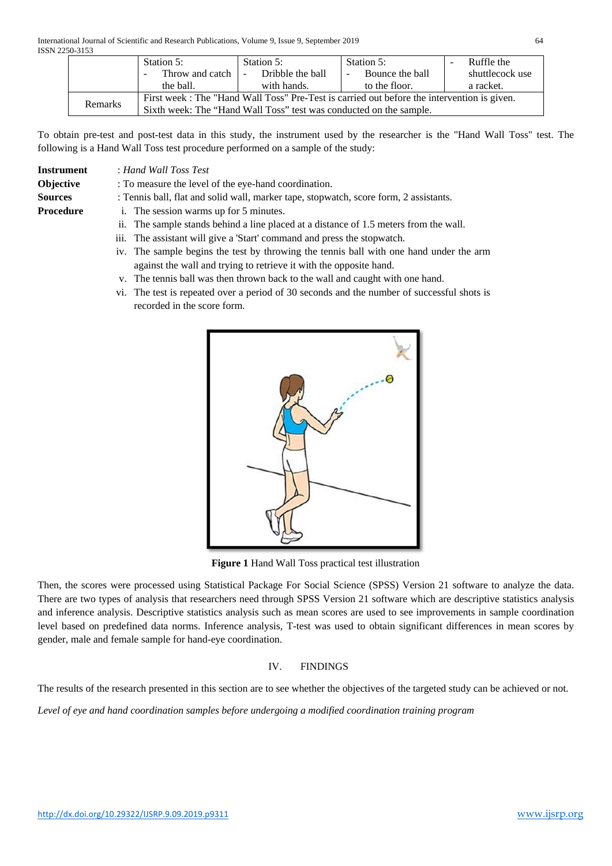|         | Station 5:                                                                                  | Station 5:       | Station 5:      | Ruffle the      |  |  |  |
|---------|---------------------------------------------------------------------------------------------|------------------|-----------------|-----------------|--|--|--|
|         | Throw and catch                                                                             | Dribble the ball | Bounce the ball | shuttlecock use |  |  |  |
|         | the ball.                                                                                   | with hands.      | to the floor.   | a racket.       |  |  |  |
|         | First week : The "Hand Wall Toss" Pre-Test is carried out before the intervention is given. |                  |                 |                 |  |  |  |
| Remarks | Sixth week: The "Hand Wall Toss" test was conducted on the sample.                          |                  |                 |                 |  |  |  |

To obtain pre-test and post-test data in this study, the instrument used by the researcher is the "Hand Wall Toss" test. The following is a Hand Wall Toss test procedure performed on a sample of the study:

**Instrument** : *Hand Wall Toss Test*

- **Objective** : To measure the level of the eye-hand coordination.
- **Sources** : Tennis ball, flat and solid wall, marker tape, stopwatch, score form, 2 assistants.
- **Procedure** i. The session warms up for 5 minutes.
	- ii. The sample stands behind a line placed at a distance of 1.5 meters from the wall.
	- iii. The assistant will give a 'Start' command and press the stopwatch.
	- iv. The sample begins the test by throwing the tennis ball with one hand under the arm against the wall and trying to retrieve it with the opposite hand.
	- v. The tennis ball was then thrown back to the wall and caught with one hand.
	- vi. The test is repeated over a period of 30 seconds and the number of successful shots is recorded in the score form.



**Figure 1** Hand Wall Toss practical test illustration

Then, the scores were processed using Statistical Package For Social Science (SPSS) Version 21 software to analyze the data. There are two types of analysis that researchers need through SPSS Version 21 software which are descriptive statistics analysis and inference analysis. Descriptive statistics analysis such as mean scores are used to see improvements in sample coordination level based on predefined data norms. Inference analysis, T-test was used to obtain significant differences in mean scores by gender, male and female sample for hand-eye coordination.

# IV. FINDINGS

The results of the research presented in this section are to see whether the objectives of the targeted study can be achieved or not.

*Level of eye and hand coordination samples before undergoing a modified coordination training program*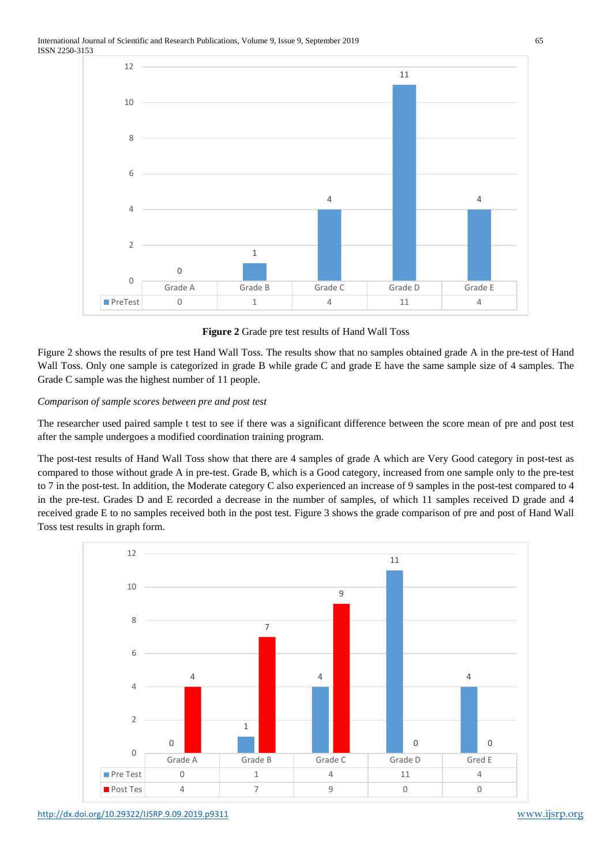

**Figure 2** Grade pre test results of Hand Wall Toss

Figure 2 shows the results of pre test Hand Wall Toss. The results show that no samples obtained grade A in the pre-test of Hand Wall Toss. Only one sample is categorized in grade B while grade C and grade E have the same sample size of 4 samples. The Grade C sample was the highest number of 11 people.

# *Comparison of sample scores between pre and post test*

The researcher used paired sample t test to see if there was a significant difference between the score mean of pre and post test after the sample undergoes a modified coordination training program.

The post-test results of Hand Wall Toss show that there are 4 samples of grade A which are Very Good category in post-test as compared to those without grade A in pre-test. Grade B, which is a Good category, increased from one sample only to the pre-test to 7 in the post-test. In addition, the Moderate category C also experienced an increase of 9 samples in the post-test compared to 4 in the pre-test. Grades D and E recorded a decrease in the number of samples, of which 11 samples received D grade and 4 received grade E to no samples received both in the post test. Figure 3 shows the grade comparison of pre and post of Hand Wall Toss test results in graph form.

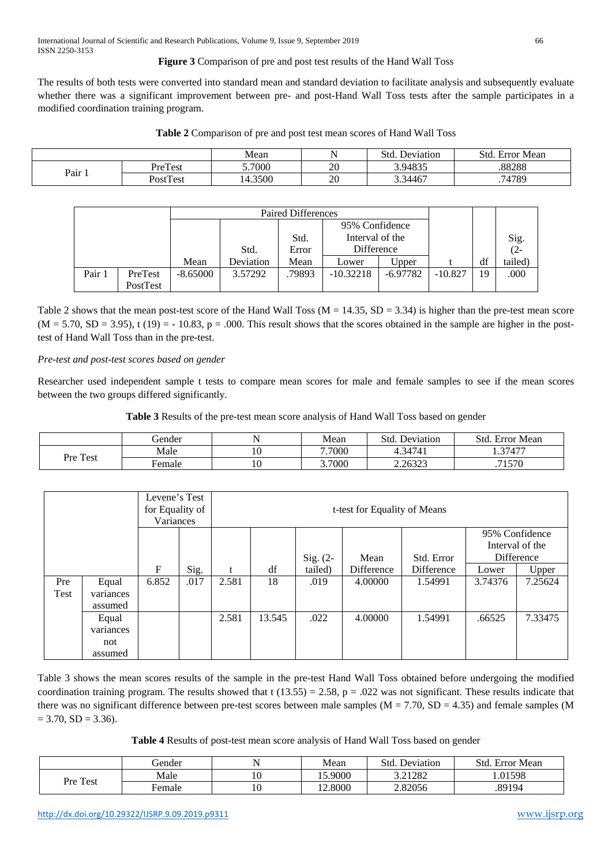# **Figure 3** Comparison of pre and post test results of the Hand Wall Toss

The results of both tests were converted into standard mean and standard deviation to facilitate analysis and subsequently evaluate whether there was a significant improvement between pre- and post-Hand Wall Toss tests after the sample participates in a modified coordination training program.

|                          |          | Mean    |    | .std.<br>. Deviation | Std<br>Error Mean |
|--------------------------|----------|---------|----|----------------------|-------------------|
|                          | PreTest  | 5.7000  | 20 | 3.94835              | .88288            |
| $P_{\text{air } \ldots}$ | PostTest | 14.3500 | 20 | 3.34467              | 74789             |

| <b>Paired Differences</b> |          |            |           |                 |                |            |           |    |               |
|---------------------------|----------|------------|-----------|-----------------|----------------|------------|-----------|----|---------------|
|                           |          |            |           |                 | 95% Confidence |            |           |    |               |
|                           |          |            | Std.      | Interval of the |                |            |           |    |               |
|                           |          |            | Std.      | Error           | Difference     |            |           |    | Sig.<br>$(2-$ |
|                           |          | Mean       | Deviation | Mean            | Lower          | Upper      |           | df | tailed)       |
| Pair 1                    | PreTest  | $-8.65000$ | 3.57292   | .79893          | $-10.32218$    | $-6.97782$ | $-10.827$ | 19 | .000          |
|                           | PostTest |            |           |                 |                |            |           |    |               |

Table 2 shows that the mean post-test score of the Hand Wall Toss ( $M = 14.35$ ,  $SD = 3.34$ ) is higher than the pre-test mean score  $(M = 5.70, SD = 3.95)$ , t (19) = - 10.83, p = .000. This result shows that the scores obtained in the sample are higher in the posttest of Hand Wall Toss than in the pre-test.

#### *Pre-test and post-test scores based on gender*

Researcher used independent sample t tests to compare mean scores for male and female samples to see if the mean scores between the two groups differed significantly.

**Table 3** Results of the pre-test mean score analysis of Hand Wall Toss based on gender

|          | Gender |    | Mean   | Std.<br>Deviation | Std.<br>Error Mean |
|----------|--------|----|--------|-------------------|--------------------|
| Pre Test | Male   | 10 | 7.7000 | 4.34741           | .37477             |
|          | ∺emale |    | 3.7000 | 2.26323           | .71570             |

|      |                      | Levene's Test<br>for Equality of<br>Variances |      | t-test for Equality of Means |                                                                                     |         |            |            |         |         |
|------|----------------------|-----------------------------------------------|------|------------------------------|-------------------------------------------------------------------------------------|---------|------------|------------|---------|---------|
|      |                      |                                               |      |                              | 95% Confidence<br>Interval of the<br>Difference<br>Sig. $(2-$<br>Std. Error<br>Mean |         |            |            |         |         |
|      |                      | F                                             | Sig. |                              | df                                                                                  | tailed) | Difference | Difference | Lower   | Upper   |
| Pre  | Equal                | 6.852                                         | .017 | 2.581                        | 18                                                                                  | .019    | 4.00000    | 1.54991    | 3.74376 | 7.25624 |
| Test | variances<br>assumed |                                               |      |                              |                                                                                     |         |            |            |         |         |
|      | Equal<br>variances   |                                               |      | 2.581                        | 13.545                                                                              | .022    | 4.00000    | 1.54991    | .66525  | 7.33475 |
|      | not<br>assumed       |                                               |      |                              |                                                                                     |         |            |            |         |         |

Table 3 shows the mean scores results of the sample in the pre-test Hand Wall Toss obtained before undergoing the modified coordination training program. The results showed that t  $(13.55) = 2.58$ ,  $p = .022$  was not significant. These results indicate that there was no significant difference between pre-test scores between male samples ( $M = 7.70$ ,  $SD = 4.35$ ) and female samples (M  $= 3.70, SD = 3.36.$ 

**Table 4** Results of post-test mean score analysis of Hand Wall Toss based on gender

|          | Gender         | Mean    | Std.<br>Deviation | Std.<br>Error Mean |
|----------|----------------|---------|-------------------|--------------------|
| Pre Test | Male           | 5.9000  | 3.21282           | .01598             |
|          | <b>E</b> emale | 12.8000 | 2.82056           | .89194             |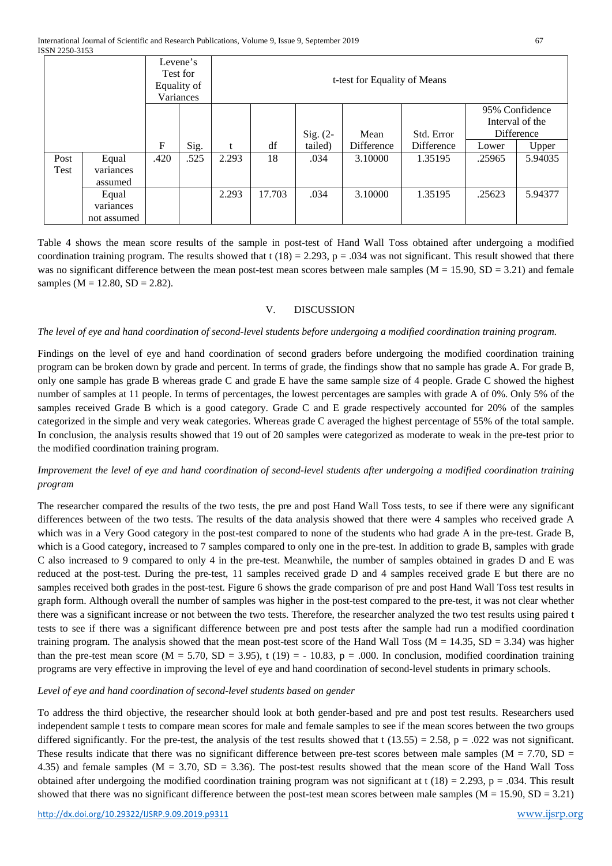| Levene's<br>Test for<br>Equality of<br>Variances |             |      |      |       |        | t-test for Equality of Means |            |            |        |                                   |
|--------------------------------------------------|-------------|------|------|-------|--------|------------------------------|------------|------------|--------|-----------------------------------|
|                                                  |             |      |      |       |        |                              |            |            |        | 95% Confidence<br>Interval of the |
|                                                  |             |      |      |       |        | Sig. $(2-$                   | Mean       | Std. Error |        | Difference                        |
|                                                  |             | F    | Sig. | t     | df     | tailed)                      | Difference | Difference | Lower  | Upper                             |
| Post                                             | Equal       | .420 | .525 | 2.293 | 18     | .034                         | 3.10000    | 1.35195    | .25965 | 5.94035                           |
| Test                                             | variances   |      |      |       |        |                              |            |            |        |                                   |
|                                                  | assumed     |      |      |       |        |                              |            |            |        |                                   |
|                                                  | Equal       |      |      | 2.293 | 17.703 | .034                         | 3.10000    | 1.35195    | .25623 | 5.94377                           |
|                                                  | variances   |      |      |       |        |                              |            |            |        |                                   |
|                                                  | not assumed |      |      |       |        |                              |            |            |        |                                   |

Table 4 shows the mean score results of the sample in post-test of Hand Wall Toss obtained after undergoing a modified coordination training program. The results showed that  $t(18) = 2.293$ ,  $p = .034$  was not significant. This result showed that there was no significant difference between the mean post-test mean scores between male samples  $(M = 15.90, SD = 3.21)$  and female samples ( $M = 12.80$ ,  $SD = 2.82$ ).

#### V. DISCUSSION

#### *The level of eye and hand coordination of second-level students before undergoing a modified coordination training program.*

Findings on the level of eye and hand coordination of second graders before undergoing the modified coordination training program can be broken down by grade and percent. In terms of grade, the findings show that no sample has grade A. For grade B, only one sample has grade B whereas grade C and grade E have the same sample size of 4 people. Grade C showed the highest number of samples at 11 people. In terms of percentages, the lowest percentages are samples with grade A of 0%. Only 5% of the samples received Grade B which is a good category. Grade C and E grade respectively accounted for 20% of the samples categorized in the simple and very weak categories. Whereas grade C averaged the highest percentage of 55% of the total sample. In conclusion, the analysis results showed that 19 out of 20 samples were categorized as moderate to weak in the pre-test prior to the modified coordination training program.

# *Improvement the level of eye and hand coordination of second-level students after undergoing a modified coordination training program*

The researcher compared the results of the two tests, the pre and post Hand Wall Toss tests, to see if there were any significant differences between of the two tests. The results of the data analysis showed that there were 4 samples who received grade A which was in a Very Good category in the post-test compared to none of the students who had grade A in the pre-test. Grade B, which is a Good category, increased to 7 samples compared to only one in the pre-test. In addition to grade B, samples with grade C also increased to 9 compared to only 4 in the pre-test. Meanwhile, the number of samples obtained in grades D and E was reduced at the post-test. During the pre-test, 11 samples received grade D and 4 samples received grade E but there are no samples received both grades in the post-test. Figure 6 shows the grade comparison of pre and post Hand Wall Toss test results in graph form. Although overall the number of samples was higher in the post-test compared to the pre-test, it was not clear whether there was a significant increase or not between the two tests. Therefore, the researcher analyzed the two test results using paired t tests to see if there was a significant difference between pre and post tests after the sample had run a modified coordination training program. The analysis showed that the mean post-test score of the Hand Wall Toss ( $M = 14.35$ ,  $SD = 3.34$ ) was higher than the pre-test mean score ( $M = 5.70$ ,  $SD = 3.95$ ), t (19) = - 10.83, p = .000. In conclusion, modified coordination training programs are very effective in improving the level of eye and hand coordination of second-level students in primary schools.

#### *Level of eye and hand coordination of second-level students based on gender*

To address the third objective, the researcher should look at both gender-based and pre and post test results. Researchers used independent sample t tests to compare mean scores for male and female samples to see if the mean scores between the two groups differed significantly. For the pre-test, the analysis of the test results showed that t  $(13.55) = 2.58$ ,  $p = .022$  was not significant. These results indicate that there was no significant difference between pre-test scores between male samples ( $M = 7.70$ , SD = 4.35) and female samples (M = 3.70, SD = 3.36). The post-test results showed that the mean score of the Hand Wall Toss obtained after undergoing the modified coordination training program was not significant at  $t(18) = 2.293$ ,  $p = .034$ . This result showed that there was no significant difference between the post-test mean scores between male samples ( $M = 15.90$ ,  $SD = 3.21$ )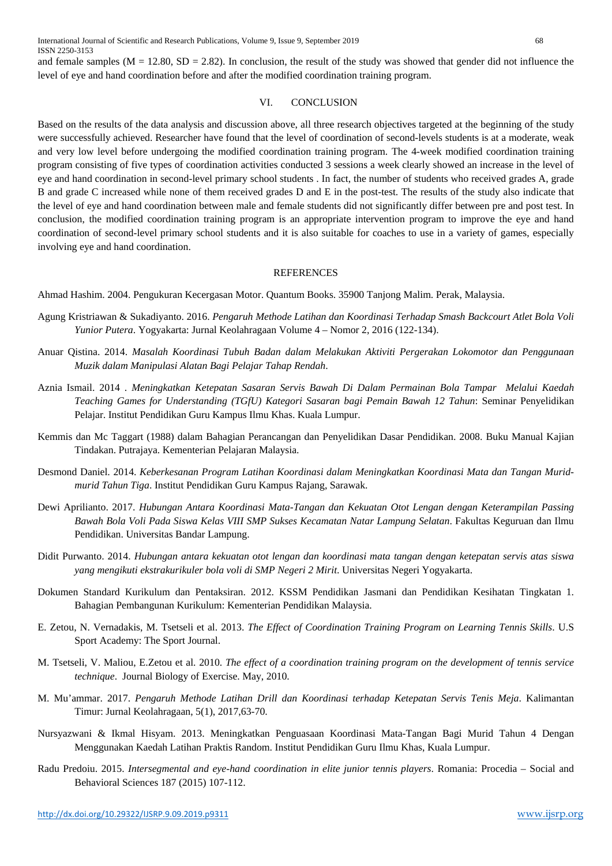and female samples ( $M = 12.80$ ,  $SD = 2.82$ ). In conclusion, the result of the study was showed that gender did not influence the level of eye and hand coordination before and after the modified coordination training program.

# VI. CONCLUSION

Based on the results of the data analysis and discussion above, all three research objectives targeted at the beginning of the study were successfully achieved. Researcher have found that the level of coordination of second-levels students is at a moderate, weak and very low level before undergoing the modified coordination training program. The 4-week modified coordination training program consisting of five types of coordination activities conducted 3 sessions a week clearly showed an increase in the level of eye and hand coordination in second-level primary school students . In fact, the number of students who received grades A, grade B and grade C increased while none of them received grades D and E in the post-test. The results of the study also indicate that the level of eye and hand coordination between male and female students did not significantly differ between pre and post test. In conclusion, the modified coordination training program is an appropriate intervention program to improve the eye and hand coordination of second-level primary school students and it is also suitable for coaches to use in a variety of games, especially involving eye and hand coordination.

#### **REFERENCES**

Ahmad Hashim. 2004. Pengukuran Kecergasan Motor. Quantum Books. 35900 Tanjong Malim. Perak, Malaysia.

- Agung Kristriawan & Sukadiyanto. 2016. *Pengaruh Methode Latihan dan Koordinasi Terhadap Smash Backcourt Atlet Bola Voli Yunior Putera*. Yogyakarta: Jurnal Keolahragaan Volume 4 – Nomor 2, 2016 (122-134).
- Anuar Qistina. 2014. *Masalah Koordinasi Tubuh Badan dalam Melakukan Aktiviti Pergerakan Lokomotor dan Penggunaan Muzik dalam Manipulasi Alatan Bagi Pelajar Tahap Rendah*.
- Aznia Ismail. 2014 . *Meningkatkan Ketepatan Sasaran Servis Bawah Di Dalam Permainan Bola Tampar Melalui Kaedah Teaching Games for Understanding (TGfU) Kategori Sasaran bagi Pemain Bawah 12 Tahun*: Seminar Penyelidikan Pelajar. Institut Pendidikan Guru Kampus Ilmu Khas. Kuala Lumpur.
- Kemmis dan Mc Taggart (1988) dalam Bahagian Perancangan dan Penyelidikan Dasar Pendidikan. 2008. Buku Manual Kajian Tindakan. Putrajaya. Kementerian Pelajaran Malaysia.
- Desmond Daniel. 2014. *Keberkesanan Program Latihan Koordinasi dalam Meningkatkan Koordinasi Mata dan Tangan Muridmurid Tahun Tiga*. Institut Pendidikan Guru Kampus Rajang, Sarawak.
- Dewi Aprilianto. 2017. *Hubungan Antara Koordinasi Mata-Tangan dan Kekuatan Otot Lengan dengan Keterampilan Passing Bawah Bola Voli Pada Siswa Kelas VIII SMP Sukses Kecamatan Natar Lampung Selatan*. Fakultas Keguruan dan Ilmu Pendidikan. Universitas Bandar Lampung.
- Didit Purwanto. 2014. *Hubungan antara kekuatan otot lengan dan koordinasi mata tangan dengan ketepatan servis atas siswa yang mengikuti ekstrakurikuler bola voli di SMP Negeri 2 Mirit*. Universitas Negeri Yogyakarta.
- Dokumen Standard Kurikulum dan Pentaksiran. 2012. KSSM Pendidikan Jasmani dan Pendidikan Kesihatan Tingkatan 1. Bahagian Pembangunan Kurikulum: Kementerian Pendidikan Malaysia.
- E. Zetou, N. Vernadakis, M. Tsetseli et al. 2013. *The Effect of Coordination Training Program on Learning Tennis Skills*. U.S Sport Academy: The Sport Journal.
- M. Tsetseli, V. Maliou, E.Zetou et al. 2010. *The effect of a coordination training program on the development of tennis service technique*. Journal Biology of Exercise. May, 2010.
- M. Mu'ammar. 2017. *Pengaruh Methode Latihan Drill dan Koordinasi terhadap Ketepatan Servis Tenis Meja*. Kalimantan Timur: Jurnal Keolahragaan, 5(1), 2017,63-70.
- Nursyazwani & Ikmal Hisyam. 2013. Meningkatkan Penguasaan Koordinasi Mata-Tangan Bagi Murid Tahun 4 Dengan Menggunakan Kaedah Latihan Praktis Random. Institut Pendidikan Guru Ilmu Khas, Kuala Lumpur.
- Radu Predoiu. 2015. *Intersegmental and eye-hand coordination in elite junior tennis players*. Romania: Procedia Social and Behavioral Sciences 187 (2015) 107-112.